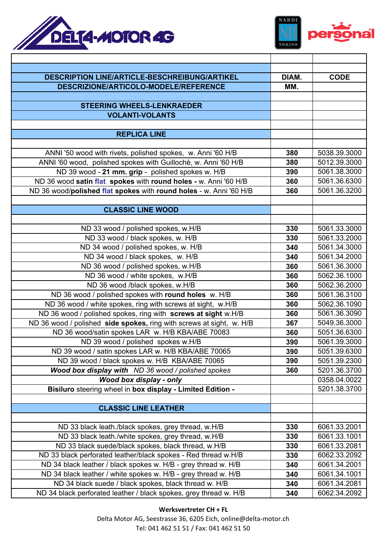



| <b>DESCRIPTION LINE/ARTICLE-BESCHREIBUNG/ARTIKEL</b>                                                                     | DIAM.      | <b>CODE</b>                  |
|--------------------------------------------------------------------------------------------------------------------------|------------|------------------------------|
| DESCRIZIONE/ARTICOLO-MODELE/REFERENCE                                                                                    | MM.        |                              |
| <b>STEERING WHEELS-LENKRAEDER</b>                                                                                        |            |                              |
| <b>VOLANTI-VOLANTS</b>                                                                                                   |            |                              |
|                                                                                                                          |            |                              |
| <b>REPLICA LINE</b>                                                                                                      |            |                              |
|                                                                                                                          |            |                              |
| ANNI '50 wood with rivets, polished spokes, w. Anni '60 H/B                                                              | 380        | 5038.39.3000                 |
| ANNI '60 wood, polished spokes with Guillochè, w. Anni '60 H/B                                                           | 380        | 5012.39.3000                 |
| ND 39 wood - 21 mm. grip - polished spokes w. H/B                                                                        | 390        | 5061.38.3000                 |
| ND 36 wood satin flat spokes with round holes - w. Anni '60 H/B                                                          | 360        | 5061.36.6300                 |
| ND 36 wood/polished flat spokes with round holes - w. Anni '60 H/B                                                       | 360        | 5061.36.3200                 |
|                                                                                                                          |            |                              |
| <b>CLASSIC LINE WOOD</b>                                                                                                 |            |                              |
|                                                                                                                          |            |                              |
| ND 33 wood / polished spokes, w.H/B                                                                                      | 330        | 5061.33.3000                 |
| ND 33 wood / black spokes, w. H/B                                                                                        | 330        | 5061.33.2000                 |
| ND 34 wood / polished spokes, w. H/B                                                                                     | 340        | 5061.34.3000                 |
| ND 34 wood / black spokes, w. H/B                                                                                        | 340        | 5061.34.2000                 |
| ND 36 wood / polished spokes, w.H/B                                                                                      | 360        | 5061.36.3000                 |
| ND 36 wood / white spokes, w.H/B                                                                                         | 360        | 5062.36.1000                 |
| ND 36 wood /black spokes, w.H/B                                                                                          | 360        | 5062.36.2000                 |
| ND 36 wood / polished spokes with round holes w. H/B                                                                     | 360        | 5061.36.3100                 |
| ND 36 wood / white spokes, ring with screws at sight, w.H/B                                                              | 360        | 5062.36.1090<br>5061.36.3090 |
| ND 36 wood / polished spokes, ring with screws at sight w.H/B                                                            | 360        | 5049.36.3000                 |
| ND 36 wood / polished side spokes, ring with screws at sight, w. H/B<br>ND 36 wood/satin spokes LAR w. H/B KBA/ABE 70083 | 367<br>360 | 5051.36.6300                 |
| ND 39 wood / polished spokes w.H/B                                                                                       | 390        | 5061.39.3000                 |
| ND 39 wood / satin spokes LAR w. H/B KBA/ABE 70065                                                                       | 390        | 5051.39.6300                 |
| ND 39 wood / black spokes w. H/B KBA/ABE 70065                                                                           | 390        | 5051.39.2300                 |
| Wood box display with ND 36 wood / polished spokes                                                                       | 360        | 5201.36.3700                 |
| Wood box display - only                                                                                                  |            | 0358.04.0022                 |
| Bisiluro steering wheel in box display - Limited Edition -                                                               |            | 5201.38.3700                 |
|                                                                                                                          |            |                              |
| <b>CLASSIC LINE LEATHER</b>                                                                                              |            |                              |
|                                                                                                                          |            |                              |
| ND 33 black leath./black spokes, grey thread, w.H/B                                                                      | 330        | 6061.33.2001                 |
| ND 33 black leath./white spokes, grey thread, w.H/B                                                                      | 330        | 6061.33.1001                 |
| ND 33 black suede/black spokes, black thread, w.H/B                                                                      | 330        | 6061.33.2081                 |
| ND 33 black perforated leather/black spokes - Red thread w.H/B                                                           | 330        | 6062.33.2092                 |
| ND 34 black leather / black spokes w. H/B - grey thread w. H/B                                                           | 340        | 6061.34.2001                 |
| ND 34 black leather / white spokes w. H/B - grey thread w. H/B                                                           | 340        | 6061.34.1001                 |
| ND 34 black suede / black spokes, black thread w. H/B                                                                    | 340        | 6061.34.2081                 |
| ND 34 black perforated leather / black spokes, grey thread w. H/B                                                        | 340        | 6062.34.2092                 |

**Werksvertreter CH + FL**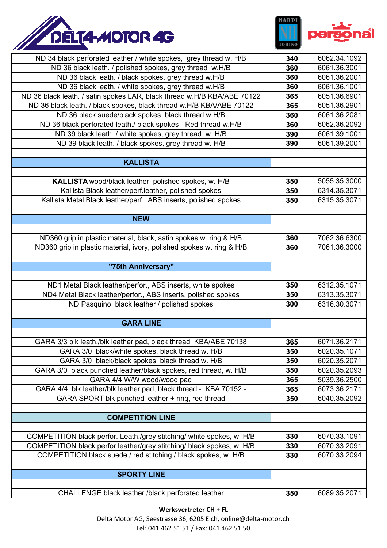



| ND 34 black perforated leather / white spokes, grey thread w. H/B       | 340 | 6062.34.1092 |
|-------------------------------------------------------------------------|-----|--------------|
| ND 36 black leath. / polished spokes, grey thread w.H/B                 | 360 | 6061.36.3001 |
| ND 36 black leath. / black spokes, grey thread w.H/B                    | 360 | 6061.36.2001 |
| ND 36 black leath. / white spokes, grey thread w.H/B                    | 360 | 6061.36.1001 |
| ND 36 black leath. / satin spokes LAR, black thread w.H/B KBA/ABE 70122 | 365 | 6051.36.6901 |
| ND 36 black leath. / black spokes, black thread w.H/B KBA/ABE 70122     | 365 | 6051.36.2901 |
| ND 36 black suede/black spokes, black thread w.H/B                      | 360 | 6061.36.2081 |
| ND 36 black perforated leath./ black spokes - Red thread w.H/B          | 360 | 6062.36.2092 |
| ND 39 black leath. / white spokes, grey thread w. H/B                   | 390 | 6061.39.1001 |
| ND 39 black leath. / black spokes, grey thread w. H/B                   | 390 | 6061.39.2001 |
|                                                                         |     |              |
| <b>KALLISTA</b>                                                         |     |              |
|                                                                         |     |              |
| KALLISTA wood/black leather, polished spokes, w. H/B                    | 350 | 5055.35.3000 |
| Kallista Black leather/perf.leather, polished spokes                    | 350 | 6314.35.3071 |
| Kallista Metal Black leather/perf., ABS inserts, polished spokes        | 350 | 6315.35.3071 |
|                                                                         |     |              |
| <b>NEW</b>                                                              |     |              |
|                                                                         |     |              |
| ND360 grip in plastic material, black, satin spokes w. ring & H/B       | 360 | 7062.36.6300 |
| ND360 grip in plastic material, ivory, polished spokes w. ring & H/B    | 360 | 7061.36.3000 |
|                                                                         |     |              |
| "75th Anniversary"                                                      |     |              |
|                                                                         |     |              |
| ND1 Metal Black leather/perfor., ABS inserts, white spokes              | 350 | 6312.35.1071 |
| ND4 Metal Black leather/perfor., ABS inserts, polished spokes           | 350 | 6313.35.3071 |
| ND Pasquino black leather / polished spokes                             | 300 | 6316.30.3071 |
|                                                                         |     |              |
| <b>GARA LINE</b>                                                        |     |              |
|                                                                         |     |              |
| GARA 3/3 blk leath./blk leather pad, black thread KBA/ABE 70138         | 365 | 6071.36.2171 |
| GARA 3/0 black/white spokes, black thread w. H/B                        | 350 | 6020.35.1071 |
| GARA 3/0 black/black spokes, black thread w. H/B                        | 350 | 6020.35.2071 |
| GARA 3/0 black punched leather/black spokes, red thread, w. H/B         | 350 | 6020.35.2093 |
| GARA 4/4 W/W wood/wood pad                                              | 365 | 5039.36.2500 |
| GARA 4/4 blk leather/blk leather pad, black thread - KBA 70152 -        | 365 | 6073.36.2171 |
| GARA SPORT blk punched leather + ring, red thread                       | 350 | 6040.35.2092 |
|                                                                         |     |              |
| <b>COMPETITION LINE</b>                                                 |     |              |
|                                                                         |     |              |
| COMPETITION black perfor. Leath./grey stitching/ white spokes, w. H/B   | 330 | 6070.33.1091 |
| COMPETITION black perfor.leather/grey stitching/ black spokes, w. H/B   | 330 | 6070.33.2091 |
| COMPETITION black suede / red stitching / black spokes, w. H/B          | 330 | 6070.33.2094 |
| <b>SPORTY LINE</b>                                                      |     |              |
|                                                                         |     |              |
| CHALLENGE black leather /black perforated leather                       | 350 | 6089.35.2071 |
|                                                                         |     |              |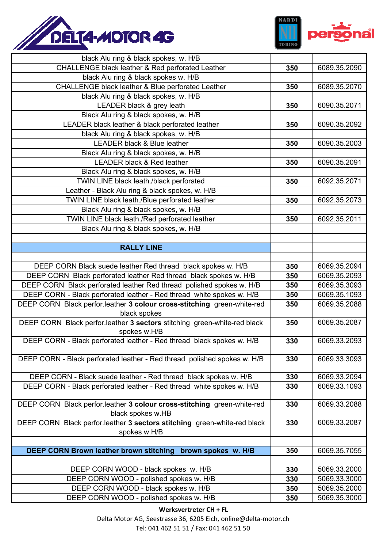



| black Alu ring & black spokes, w. H/B                                                                                                         |            |                              |
|-----------------------------------------------------------------------------------------------------------------------------------------------|------------|------------------------------|
| CHALLENGE black leather & Red perforated Leather                                                                                              | 350        | 6089.35.2090                 |
| black Alu ring & black spokes w. H/B                                                                                                          |            |                              |
| CHALLENGE black leather & Blue perforated Leather                                                                                             | 350        | 6089.35.2070                 |
| black Alu ring & black spokes, w. H/B                                                                                                         |            |                              |
| LEADER black & grey leath                                                                                                                     | 350        | 6090.35.2071                 |
| Black Alu ring & black spokes, w. H/B                                                                                                         |            |                              |
| LEADER black leather & black perforated leather                                                                                               | 350        | 6090.35.2092                 |
| black Alu ring & black spokes, w. H/B                                                                                                         |            |                              |
| <b>LEADER black &amp; Blue leather</b>                                                                                                        | 350        | 6090.35.2003                 |
| Black Alu ring & black spokes, w. H/B                                                                                                         |            |                              |
| <b>LEADER black &amp; Red leather</b>                                                                                                         | 350        | 6090.35.2091                 |
| Black Alu ring & black spokes, w. H/B                                                                                                         |            |                              |
| TWIN LINE black leath./black perforated                                                                                                       | 350        | 6092.35.2071                 |
| Leather - Black Alu ring & black spokes, w. H/B                                                                                               |            |                              |
| TWIN LINE black leath./Blue perforated leather                                                                                                | 350        | 6092.35.2073                 |
| Black Alu ring & black spokes, w. H/B                                                                                                         |            |                              |
| TWIN LINE black leath./Red perforated leather                                                                                                 | 350        | 6092.35.2011                 |
| Black Alu ring & black spokes, w. H/B                                                                                                         |            |                              |
|                                                                                                                                               |            |                              |
| <b>RALLY LINE</b>                                                                                                                             |            |                              |
|                                                                                                                                               |            |                              |
| DEEP CORN Black suede leather Red thread black spokes w. H/B                                                                                  | 350        | 6069.35.2094                 |
| DEEP CORN Black perforated leather Red thread black spokes w. H/B                                                                             | 350        | 6069.35.2093                 |
| DEEP CORN Black perforated leather Red thread polished spokes w. H/B<br>DEEP CORN - Black perforated leather - Red thread white spokes w. H/B | 350        | 6069.35.3093<br>6069.35.1093 |
| DEEP CORN Black perfor.leather 3 colour cross-stitching green-white-red                                                                       | 350<br>350 | 6069.35.2088                 |
| black spokes                                                                                                                                  |            |                              |
| DEEP CORN Black perfor.leather 3 sectors stitching green-white-red black<br>spokes w.H/B                                                      | 350        | 6069.35.2087                 |
| DEEP CORN - Black perforated leather - Red thread black spokes w. H/B                                                                         | 330        | 6069.33.2093                 |
|                                                                                                                                               |            |                              |
| DEEP CORN - Black perforated leather - Red thread polished spokes w. H/B                                                                      | 330        | 6069.33.3093                 |
| DEEP CORN - Black suede leather - Red thread black spokes w. H/B                                                                              | 330        | 6069.33.2094                 |
| DEEP CORN - Black perforated leather - Red thread white spokes w. H/B                                                                         | 330        | 6069.33.1093                 |
|                                                                                                                                               |            |                              |
| DEEP CORN Black perfor.leather 3 colour cross-stitching green-white-red                                                                       | 330        | 6069.33.2088                 |
| black spokes w.HB                                                                                                                             |            |                              |
| DEEP CORN Black perfor.leather 3 sectors stitching green-white-red black                                                                      | 330        | 6069.33.2087                 |
| spokes w.H/B                                                                                                                                  |            |                              |
| DEEP CORN Brown leather brown stitching brown spokes w. H/B                                                                                   | 350        | 6069.35.7055                 |
|                                                                                                                                               |            |                              |
| DEEP CORN WOOD - black spokes w. H/B                                                                                                          | 330        | 5069.33.2000                 |
|                                                                                                                                               |            |                              |
|                                                                                                                                               | 330        | 5069.33.3000                 |
| DEEP CORN WOOD - polished spokes w. H/B<br>DEEP CORN WOOD - black spokes w. H/B                                                               | 350        | 5069.35.2000                 |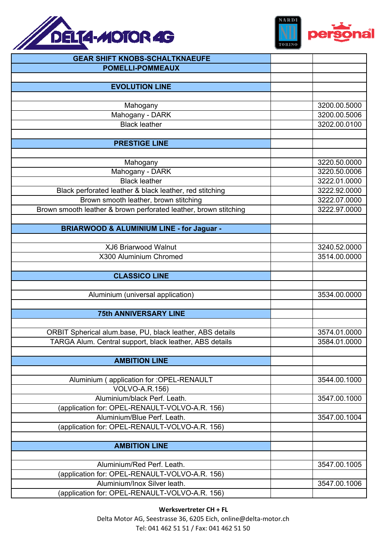



| <b>GEAR SHIFT KNOBS-SCHALTKNAEUFE</b>                            |              |
|------------------------------------------------------------------|--------------|
| <b>POMELLI-POMMEAUX</b>                                          |              |
|                                                                  |              |
| <b>EVOLUTION LINE</b>                                            |              |
|                                                                  |              |
| Mahogany                                                         | 3200.00.5000 |
| Mahogany - DARK                                                  | 3200.00.5006 |
| <b>Black leather</b>                                             | 3202.00.0100 |
|                                                                  |              |
| <b>PRESTIGE LINE</b>                                             |              |
|                                                                  |              |
| Mahogany                                                         | 3220.50.0000 |
| Mahogany - DARK                                                  | 3220.50.0006 |
| <b>Black leather</b>                                             | 3222.01.0000 |
| Black perforated leather & black leather, red stitching          | 3222.92.0000 |
| Brown smooth leather, brown stitching                            | 3222.07.0000 |
| Brown smooth leather & brown perforated leather, brown stitching | 3222.97.0000 |
|                                                                  |              |
| <b>BRIARWOOD &amp; ALUMINIUM LINE - for Jaguar -</b>             |              |
|                                                                  |              |
| XJ6 Briarwood Walnut                                             | 3240.52.0000 |
| X300 Aluminium Chromed                                           | 3514.00.0000 |
|                                                                  |              |
| <b>CLASSICO LINE</b>                                             |              |
|                                                                  |              |
| Aluminium (universal application)                                | 3534.00.0000 |
| <b>75th ANNIVERSARY LINE</b>                                     |              |
|                                                                  |              |
| ORBIT Spherical alum.base, PU, black leather, ABS details        | 3574.01.0000 |
| TARGA Alum. Central support, black leather, ABS details          | 3584.01.0000 |
|                                                                  |              |
| <b>AMBITION LINE</b>                                             |              |
|                                                                  |              |
| Aluminium (application for : OPEL-RENAULT                        | 3544.00.1000 |
| <b>VOLVO-A.R.156)</b>                                            |              |
| Aluminium/black Perf. Leath.                                     | 3547.00.1000 |
| (application for: OPEL-RENAULT-VOLVO-A.R. 156)                   |              |
| Aluminium/Blue Perf. Leath.                                      | 3547.00.1004 |
| (application for: OPEL-RENAULT-VOLVO-A.R. 156)                   |              |
|                                                                  |              |
| <b>AMBITION LINE</b>                                             |              |
|                                                                  |              |
| Aluminium/Red Perf. Leath.                                       | 3547.00.1005 |
| (application for: OPEL-RENAULT-VOLVO-A.R. 156)                   |              |
| Aluminium/Inox Silver leath.                                     | 3547.00.1006 |
| (application for: OPEL-RENAULT-VOLVO-A.R. 156)                   |              |

**Werksvertreter CH + FL** Delta Motor AG, Seestrasse 36, 6205 Eich, online@delta-motor.ch Tel: 041 462 51 51 / Fax: 041 462 51 50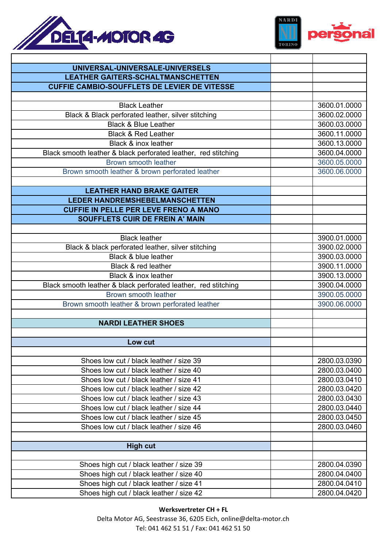



| UNIVERSAL-UNIVERSALE-UNIVERSELS                                |              |
|----------------------------------------------------------------|--------------|
| <b>LEATHER GAITERS-SCHALTMANSCHETTEN</b>                       |              |
| <b>CUFFIE CAMBIO-SOUFFLETS DE LEVIER DE VITESSE</b>            |              |
|                                                                |              |
| <b>Black Leather</b>                                           | 3600.01.0000 |
| Black & Black perforated leather, silver stitching             | 3600.02.0000 |
| <b>Black &amp; Blue Leather</b>                                | 3600.03.0000 |
| <b>Black &amp; Red Leather</b>                                 | 3600.11.0000 |
| Black & inox leather                                           | 3600.13.0000 |
| Black smooth leather & black perforated leather, red stitching | 3600.04.0000 |
| Brown smooth leather                                           | 3600.05.0000 |
| Brown smooth leather & brown perforated leather                | 3600.06.0000 |
|                                                                |              |
| <b>LEATHER HAND BRAKE GAITER</b>                               |              |
| <b>LEDER HANDREMSHEBELMANSCHETTEN</b>                          |              |
| <b>CUFFIE IN PELLE PER LEVE FRENO A MANO</b>                   |              |
| <b>SOUFFLETS CUIR DE FREIN A' MAIN</b>                         |              |
|                                                                |              |
| <b>Black leather</b>                                           | 3900.01.0000 |
| Black & black perforated leather, silver stitching             | 3900.02.0000 |
| <b>Black &amp; blue leather</b>                                | 3900.03.0000 |
| Black & red leather                                            | 3900.11.0000 |
| Black & inox leather                                           | 3900.13.0000 |
| Black smooth leather & black perforated leather, red stitching | 3900.04.0000 |
| Brown smooth leather                                           | 3900.05.0000 |
| Brown smooth leather & brown perforated leather                | 3900.06.0000 |
|                                                                |              |
| <b>NARDI LEATHER SHOES</b>                                     |              |
|                                                                |              |
| Low cut                                                        |              |
| Shoes low cut / black leather / size 39                        | 2800.03.0390 |
| Shoes low cut / black leather / size 40                        | 2800.03.0400 |
| Shoes low cut / black leather / size 41                        | 2800.03.0410 |
| Shoes low cut / black leather / size 42                        | 2800.03.0420 |
| Shoes low cut / black leather / size 43                        | 2800.03.0430 |
| Shoes low cut / black leather / size 44                        | 2800.03.0440 |
| Shoes low cut / black leather / size 45                        | 2800.03.0450 |
| Shoes low cut / black leather / size 46                        | 2800.03.0460 |
|                                                                |              |
| <b>High cut</b>                                                |              |
|                                                                |              |
| Shoes high cut / black leather / size 39                       | 2800.04.0390 |
| Shoes high cut / black leather / size 40                       | 2800.04.0400 |
| Shoes high cut / black leather / size 41                       | 2800.04.0410 |
| Shoes high cut / black leather / size 42                       | 2800.04.0420 |
|                                                                |              |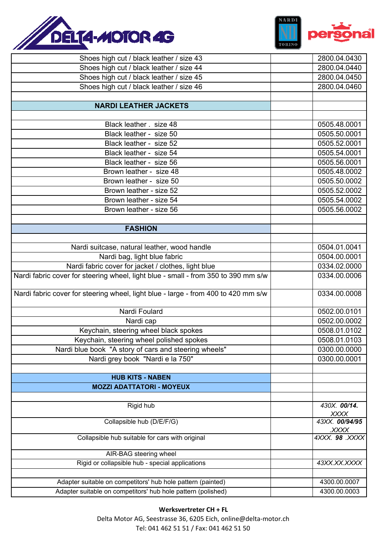



| Shoes high cut / black leather / size 43                                           | 2800.04.0430                |
|------------------------------------------------------------------------------------|-----------------------------|
| Shoes high cut / black leather / size 44                                           | 2800.04.0440                |
| Shoes high cut / black leather / size 45                                           | 2800.04.0450                |
| Shoes high cut / black leather / size 46                                           | 2800.04.0460                |
|                                                                                    |                             |
| <b>NARDI LEATHER JACKETS</b>                                                       |                             |
|                                                                                    |                             |
| Black leather . size 48                                                            | 0505.48.0001                |
| Black leather - size 50                                                            | 0505.50.0001                |
| Black leather - size 52                                                            | 0505.52.0001                |
| Black leather - size 54                                                            | 0505.54.0001                |
| Black leather - size 56                                                            | 0505.56.0001                |
| Brown leather - size 48                                                            | 0505.48.0002                |
| Brown leather - size 50                                                            | 0505.50.0002                |
| Brown leather - size 52                                                            | 0505.52.0002                |
| Brown leather - size 54                                                            | 0505.54.0002                |
| Brown leather - size 56                                                            | 0505.56.0002                |
|                                                                                    |                             |
| <b>FASHION</b>                                                                     |                             |
|                                                                                    |                             |
| Nardi suitcase, natural leather, wood handle                                       | 0504.01.0041                |
| Nardi bag, light blue fabric                                                       | 0504.00.0001                |
| Nardi fabric cover for jacket / clothes, light blue                                | 0334.02.0000                |
| Nardi fabric cover for steering wheel, light blue - small - from 350 to 390 mm s/w | 0334.00.0006                |
| Nardi fabric cover for steering wheel, light blue - large - from 400 to 420 mm s/w | 0334.00.0008                |
| Nardi Foulard                                                                      | 0502.00.0101                |
| Nardi cap                                                                          | 0502.00.0002                |
| Keychain, steering wheel black spokes                                              | 0508.01.0102                |
| Keychain, steering wheel polished spokes                                           | 0508.01.0103                |
| Nardi blue book "A story of cars and steering wheels"                              | 0300.00.0000                |
| Nardi grey book "Nardi e la 750"                                                   | 0300.00.0001                |
|                                                                                    |                             |
| <b>HUB KITS - NABEN</b>                                                            |                             |
| <b>MOZZI ADATTATORI - MOYEUX</b>                                                   |                             |
|                                                                                    |                             |
| Rigid hub                                                                          | 430X. 00/14.<br><b>XXXX</b> |
| Collapsible hub (D/E/F/G)                                                          | 43XX. 00/94/95<br>XXXX.     |
| Collapsible hub suitable for cars with original                                    | 4XXX. 98 .XXXX              |
| AIR-BAG steering wheel                                                             |                             |
| Rigid or collapsible hub - special applications                                    | 43XX.XX.XXXX                |
|                                                                                    |                             |
| Adapter suitable on competitors' hub hole pattern (painted)                        | 4300.00.0007                |
| Adapter suitable on competitors' hub hole pattern (polished)                       | 4300.00.0003                |

**Werksvertreter CH + FL** Delta Motor AG, Seestrasse 36, 6205 Eich, online@delta-motor.ch Tel: 041 462 51 51 / Fax: 041 462 51 50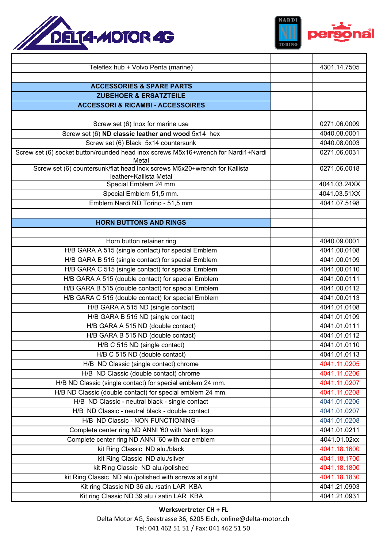



| Teleflex hub + Volvo Penta (marine)                                                | 4301.14.7505 |
|------------------------------------------------------------------------------------|--------------|
|                                                                                    |              |
| <b>ACCESSORIES &amp; SPARE PARTS</b>                                               |              |
| <b>ZUBEHOER &amp; ERSATZTEILE</b>                                                  |              |
| <b>ACCESSORI &amp; RICAMBI - ACCESSOIRES</b>                                       |              |
|                                                                                    |              |
| Screw set (6) Inox for marine use                                                  | 0271.06.0009 |
| Screw set (6) ND classic leather and wood 5x14 hex                                 | 4040.08.0001 |
| Screw set (6) Black 5x14 countersunk                                               | 4040.08.0003 |
| Screw set (6) socket button/rounded head inox screws M5x16+wrench for Nardi1+Nardi | 0271.06.0031 |
| Metal                                                                              |              |
| Screw set (6) countersunk/flat head inox screws M5x20+wrench for Kallista          | 0271.06.0018 |
| leather+Kallista Metal<br>Special Emblem 24 mm                                     | 4041.03.24XX |
| Special Emblem 51,5 mm.                                                            | 4041.03.51XX |
| Emblem Nardi ND Torino - 51,5 mm                                                   | 4041.07.5198 |
|                                                                                    |              |
| <b>HORN BUTTONS AND RINGS</b>                                                      |              |
|                                                                                    |              |
|                                                                                    |              |
| Horn button retainer ring                                                          | 4040.09.0001 |
| H/B GARA A 515 (single contact) for special Emblem                                 | 4041.00.0108 |
| H/B GARA B 515 (single contact) for special Emblem                                 | 4041.00.0109 |
| H/B GARA C 515 (single contact) for special Emblem                                 | 4041.00.0110 |
| H/B GARA A 515 (double contact) for special Emblem                                 | 4041.00.0111 |
| H/B GARA B 515 (double contact) for special Emblem                                 | 4041.00.0112 |
| H/B GARA C 515 (double contact) for special Emblem                                 | 4041.00.0113 |
| H/B GARA A 515 ND (single contact)                                                 | 4041.01.0108 |
| H/B GARA B 515 ND (single contact)                                                 | 4041.01.0109 |
| H/B GARA A 515 ND (double contact)                                                 | 4041.01.0111 |
| H/B GARA B 515 ND (double contact)                                                 | 4041.01.0112 |
| H/B C 515 ND (single contact)                                                      | 4041.01.0110 |
| H/B C 515 ND (double contact)                                                      | 4041.01.0113 |
| H/B ND Classic (single contact) chrome                                             | 4041.11.0205 |
| H/B ND Classic (double contact) chrome                                             | 4041.11.0206 |
| H/B ND Classic (single contact) for special emblem 24 mm.                          | 4041.11.0207 |
| H/B ND Classic (double contact) for special emblem 24 mm.                          | 4041.11.0208 |
| H/B ND Classic - neutral black - single contact                                    | 4041.01.0206 |
| H/B ND Classic - neutral black - double contact                                    | 4041.01.0207 |
| H/B ND Classic - NON FUNCTIONING -                                                 | 4041.01.0208 |
| Complete center ring ND ANNI '60 with Nardi logo                                   | 4041.01.0211 |
| Complete center ring ND ANNI '60 with car emblem                                   | 4041.01.02xx |
| kit Ring Classic ND alu./black                                                     | 4041.18.1600 |
| kit Ring Classic ND alu./silver                                                    | 4041.18.1700 |
| kit Ring Classic ND alu./polished                                                  | 4041.18.1800 |
| kit Ring Classic ND alu./polished with screws at sight                             | 4041.18.1830 |
| Kit ring Classic ND 36 alu /satin LAR KBA                                          | 4041.21.0903 |
| Kit ring Classic ND 39 alu / satin LAR KBA                                         | 4041.21.0931 |
|                                                                                    |              |

## **Werksvertreter CH + FL**